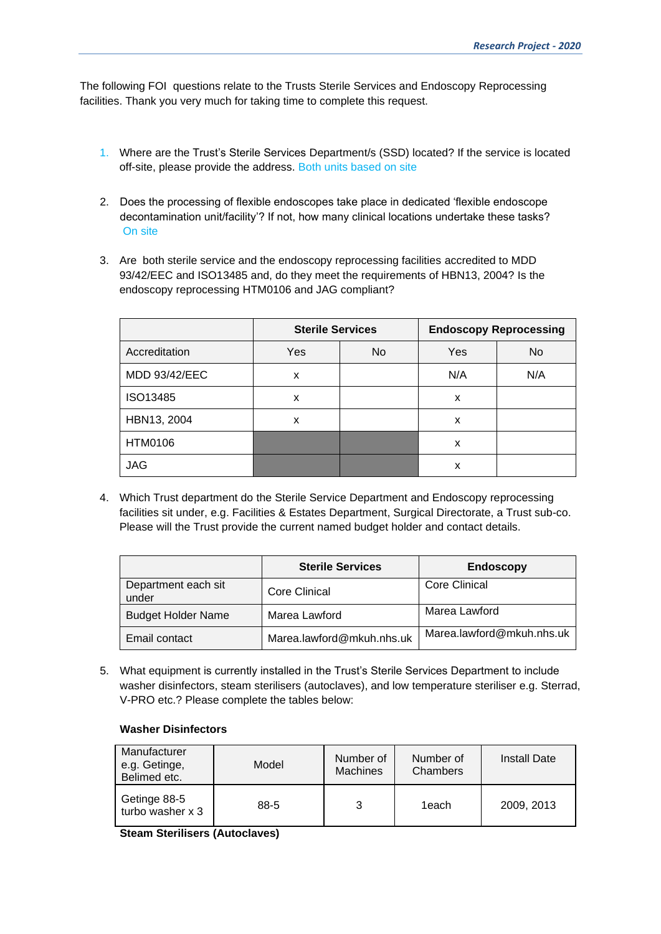The following FOI questions relate to the Trusts Sterile Services and Endoscopy Reprocessing facilities. Thank you very much for taking time to complete this request.

- 1. Where are the Trust's Sterile Services Department/s (SSD) located? If the service is located off-site, please provide the address. Both units based on site
- 2. Does the processing of flexible endoscopes take place in dedicated 'flexible endoscope decontamination unit/facility'? If not, how many clinical locations undertake these tasks? On site
- 3. Are both sterile service and the endoscopy reprocessing facilities accredited to MDD 93/42/EEC and ISO13485 and, do they meet the requirements of HBN13, 2004? Is the endoscopy reprocessing HTM0106 and JAG compliant?

|               | <b>Sterile Services</b> |    |     | <b>Endoscopy Reprocessing</b> |
|---------------|-------------------------|----|-----|-------------------------------|
| Accreditation | Yes                     | No | Yes | <b>No</b>                     |
| MDD 93/42/EEC | X                       |    | N/A | N/A                           |
| ISO13485      | x                       |    | x   |                               |
| HBN13, 2004   | x                       |    | X   |                               |
| HTM0106       |                         |    | x   |                               |
| <b>JAG</b>    |                         |    | x   |                               |

4. Which Trust department do the Sterile Service Department and Endoscopy reprocessing facilities sit under, e.g. Facilities & Estates Department, Surgical Directorate, a Trust sub-co. Please will the Trust provide the current named budget holder and contact details.

|                              | <b>Sterile Services</b>   | <b>Endoscopy</b>          |
|------------------------------|---------------------------|---------------------------|
| Department each sit<br>under | Core Clinical             | Core Clinical             |
| <b>Budget Holder Name</b>    | Marea Lawford             | Marea Lawford             |
| Email contact                | Marea.lawford@mkuh.nhs.uk | Marea.lawford@mkuh.nhs.uk |

5. What equipment is currently installed in the Trust's Sterile Services Department to include washer disinfectors, steam sterilisers (autoclaves), and low temperature steriliser e.g. Sterrad, V-PRO etc.? Please complete the tables below:

#### **Washer Disinfectors**

| Manufacturer<br>e.g. Getinge,<br>Belimed etc. | Model | Number of<br><b>Machines</b> | Number of<br>Chambers | <b>Install Date</b> |
|-----------------------------------------------|-------|------------------------------|-----------------------|---------------------|
| Getinge 88-5<br>turbo washer x 3              | 88-5  | 3                            | 1each                 | 2009, 2013          |

**Steam Sterilisers (Autoclaves)**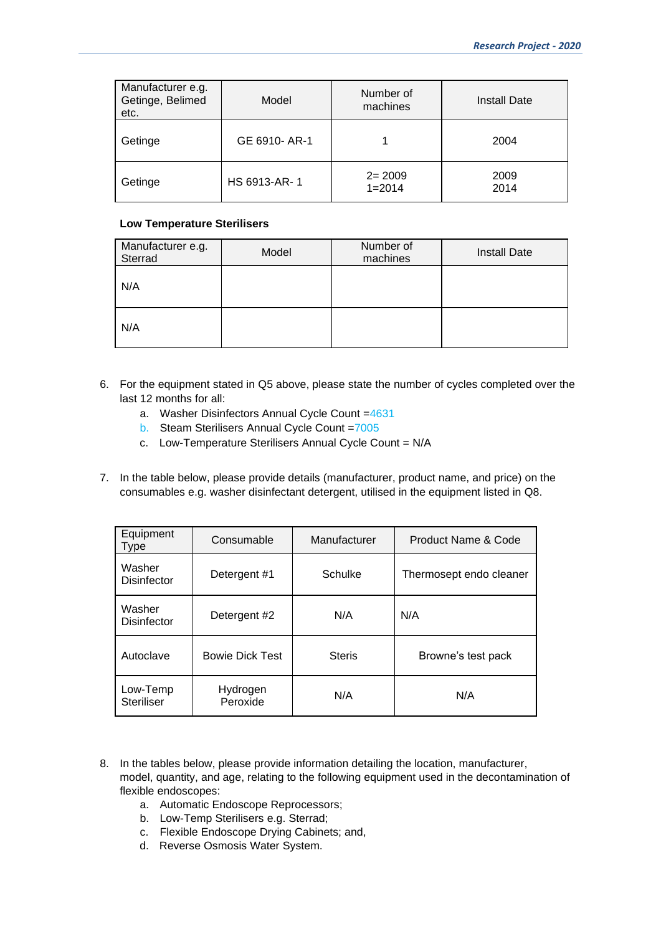| Manufacturer e.g.<br>Getinge, Belimed<br>etc. | Model         | Number of<br>machines    | <b>Install Date</b> |
|-----------------------------------------------|---------------|--------------------------|---------------------|
| Getinge                                       | GE 6910- AR-1 |                          | 2004                |
| Getinge                                       | HS 6913-AR-1  | $2 = 2009$<br>$1 = 2014$ | 2009<br>2014        |

#### **Low Temperature Sterilisers**

| Manufacturer e.g.<br>Sterrad | Model | Number of<br>machines | <b>Install Date</b> |
|------------------------------|-------|-----------------------|---------------------|
| N/A                          |       |                       |                     |
| N/A                          |       |                       |                     |

- 6. For the equipment stated in Q5 above, please state the number of cycles completed over the last 12 months for all:
	- a. Washer Disinfectors Annual Cycle Count =4631
	- b. Steam Sterilisers Annual Cycle Count =7005
	- c. Low-Temperature Sterilisers Annual Cycle Count = N/A
- 7. In the table below, please provide details (manufacturer, product name, and price) on the consumables e.g. washer disinfectant detergent, utilised in the equipment listed in Q8.

| Equipment<br>Type             | Consumable             | Manufacturer  | Product Name & Code     |
|-------------------------------|------------------------|---------------|-------------------------|
| Washer<br><b>Disinfector</b>  | Detergent #1           | Schulke       | Thermosept endo cleaner |
| Washer<br><b>Disinfector</b>  | Detergent #2           | N/A           | N/A                     |
| Autoclave                     | <b>Bowie Dick Test</b> | <b>Steris</b> | Browne's test pack      |
| Low-Temp<br><b>Steriliser</b> | Hydrogen<br>Peroxide   | N/A           | N/A                     |

- 8. In the tables below, please provide information detailing the location, manufacturer, model, quantity, and age, relating to the following equipment used in the decontamination of flexible endoscopes:
	- a. Automatic Endoscope Reprocessors;
	- b. Low-Temp Sterilisers e.g. Sterrad;
	- c. Flexible Endoscope Drying Cabinets; and,
	- d. Reverse Osmosis Water System.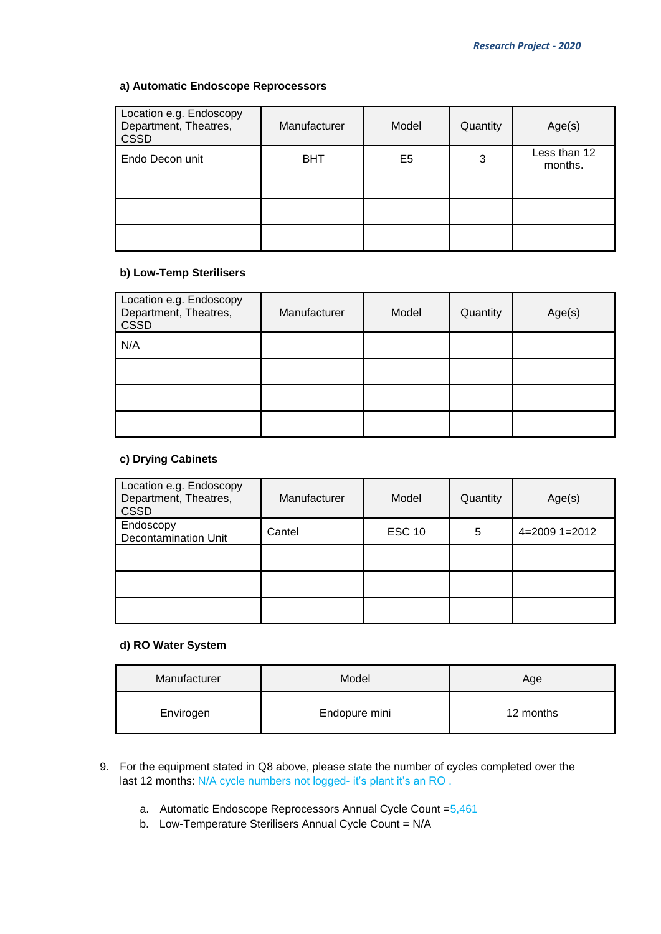## **a) Automatic Endoscope Reprocessors**

| Location e.g. Endoscopy<br>Department, Theatres,<br><b>CSSD</b> | Manufacturer | Model | Quantity | Age(s)                  |
|-----------------------------------------------------------------|--------------|-------|----------|-------------------------|
| Endo Decon unit                                                 | <b>BHT</b>   | E5    | 3        | Less than 12<br>months. |
|                                                                 |              |       |          |                         |
|                                                                 |              |       |          |                         |
|                                                                 |              |       |          |                         |

# **b) Low-Temp Sterilisers**

| Location e.g. Endoscopy<br>Department, Theatres,<br><b>CSSD</b> | Manufacturer | Model | Quantity | Age(s) |
|-----------------------------------------------------------------|--------------|-------|----------|--------|
| N/A                                                             |              |       |          |        |
|                                                                 |              |       |          |        |
|                                                                 |              |       |          |        |
|                                                                 |              |       |          |        |

### **c) Drying Cabinets**

| Location e.g. Endoscopy<br>Department, Theatres,<br><b>CSSD</b> | Manufacturer | Model         | Quantity | Age(s)          |
|-----------------------------------------------------------------|--------------|---------------|----------|-----------------|
| Endoscopy<br><b>Decontamination Unit</b>                        | Cantel       | <b>ESC 10</b> | 5        | $4=2009$ 1=2012 |
|                                                                 |              |               |          |                 |
|                                                                 |              |               |          |                 |
|                                                                 |              |               |          |                 |

# **d) RO Water System**

| Manufacturer | Model         | Age       |
|--------------|---------------|-----------|
| Envirogen    | Endopure mini | 12 months |

- 9. For the equipment stated in Q8 above, please state the number of cycles completed over the last 12 months: N/A cycle numbers not logged- it's plant it's an RO.
	- a. Automatic Endoscope Reprocessors Annual Cycle Count =5,461
	- b. Low-Temperature Sterilisers Annual Cycle Count = N/A